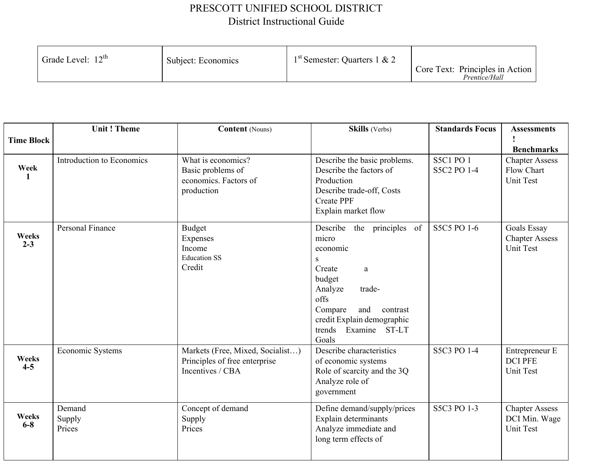## PRESCOTT UNIFIED SCHOOL DISTRICT District Instructional Guide

| Grade Level: 12 <sup>th</sup> | Subject: Economics | $1st$ Semester: Quarters 1 & 2 | Core Text: Principles in Action<br>Prentice/Hall |
|-------------------------------|--------------------|--------------------------------|--------------------------------------------------|
|-------------------------------|--------------------|--------------------------------|--------------------------------------------------|

| <b>Time Block</b> | <b>Unit! Theme</b>         | <b>Content</b> (Nouns)                                                                | Skills (Verbs)                                                                                                                                                                                                     | <b>Standards Focus</b>          | <b>Assessments</b><br><b>Benchmarks</b>                 |
|-------------------|----------------------------|---------------------------------------------------------------------------------------|--------------------------------------------------------------------------------------------------------------------------------------------------------------------------------------------------------------------|---------------------------------|---------------------------------------------------------|
| Week<br>1         | Introduction to Economics  | What is economics?<br>Basic problems of<br>economics. Factors of<br>production        | Describe the basic problems.<br>Describe the factors of<br>Production<br>Describe trade-off, Costs<br><b>Create PPF</b><br>Explain market flow                                                                     | <b>S5C1 PO 1</b><br>S5C2 PO 1-4 | <b>Chapter Assess</b><br><b>Flow Chart</b><br>Unit Test |
| Weeks<br>$2 - 3$  | Personal Finance           | <b>Budget</b><br>Expenses<br>Income<br><b>Education SS</b><br>Credit                  | Describe the principles of<br>micro<br>economic<br>${\bf S}$<br>Create<br>a<br>budget<br>Analyze<br>trade-<br>offs<br>Compare<br>and<br>contrast<br>credit Explain demographic<br>trends<br>Examine ST-LT<br>Goals | S5C5 PO 1-6                     | Goals Essay<br><b>Chapter Assess</b><br>Unit Test       |
| Weeks<br>$4 - 5$  | Economic Systems           | Markets (Free, Mixed, Socialist)<br>Principles of free enterprise<br>Incentives / CBA | Describe characteristics<br>of economic systems<br>Role of scarcity and the 3Q<br>Analyze role of<br>government                                                                                                    | S5C3 PO 1-4                     | Entrepreneur E<br><b>DCI PFE</b><br>Unit Test           |
| Weeks<br>$6-8$    | Demand<br>Supply<br>Prices | Concept of demand<br>Supply<br>Prices                                                 | Define demand/supply/prices<br>Explain determinants<br>Analyze immediate and<br>long term effects of                                                                                                               | S5C3 PO 1-3                     | <b>Chapter Assess</b><br>DCI Min. Wage<br>Unit Test     |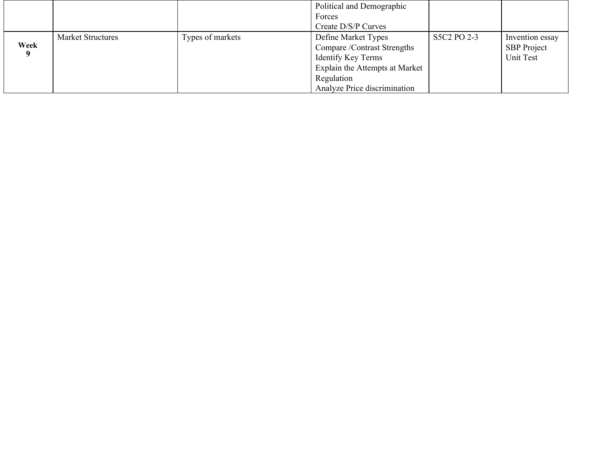|      |                          |                  | Political and Demographic      |             |                    |
|------|--------------------------|------------------|--------------------------------|-------------|--------------------|
|      |                          |                  | Forces                         |             |                    |
|      |                          |                  | Create D/S/P Curves            |             |                    |
|      | <b>Market Structures</b> | Types of markets | Define Market Types            | S5C2 PO 2-3 | Invention essay    |
| Week |                          |                  | Compare /Contrast Strengths    |             | <b>SBP</b> Project |
|      |                          |                  | Identify Key Terms             |             | Unit Test          |
|      |                          |                  | Explain the Attempts at Market |             |                    |
|      |                          |                  | Regulation                     |             |                    |
|      |                          |                  | Analyze Price discrimination   |             |                    |